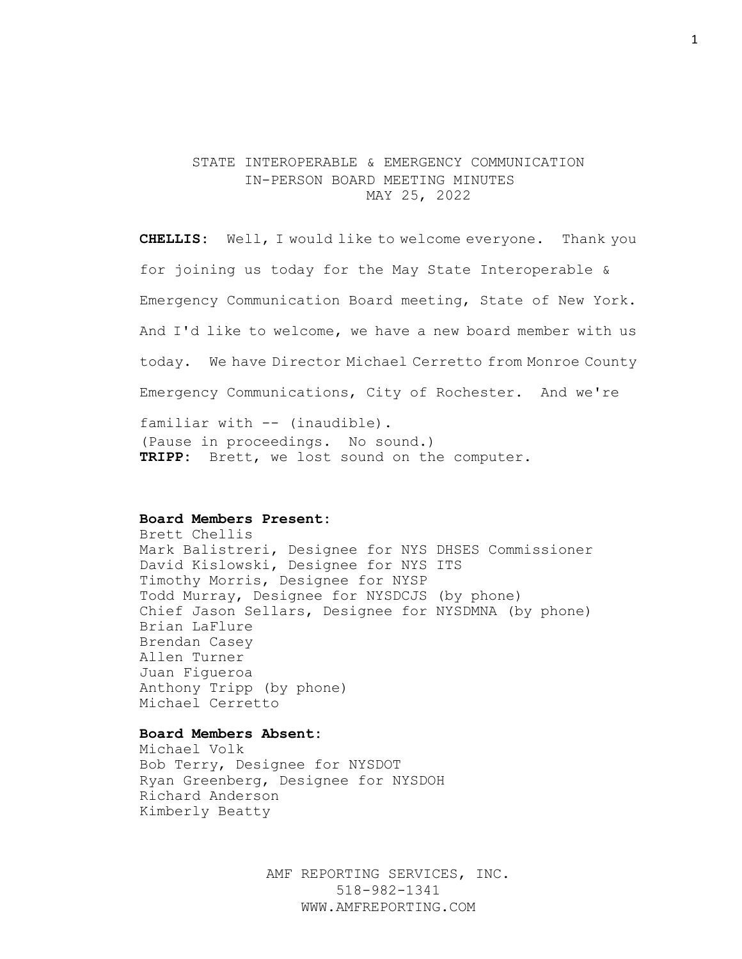## STATE INTEROPERABLE & EMERGENCY COMMUNICATION IN-PERSON BOARD MEETING MINUTES MAY 25, 2022

**CHELLIS:** Well, I would like to welcome everyone. Thank you for joining us today for the May State Interoperable & Emergency Communication Board meeting, State of New York. And I'd like to welcome, we have a new board member with us today. We have Director Michael Cerretto from Monroe County Emergency Communications, City of Rochester. And we're familiar with -- (inaudible). (Pause in proceedings. No sound.) **TRIPP:** Brett, we lost sound on the computer.

### **Board Members Present:**

Brett Chellis Mark Balistreri, Designee for NYS DHSES Commissioner David Kislowski, Designee for NYS ITS Timothy Morris, Designee for NYSP Todd Murray, Designee for NYSDCJS (by phone) Chief Jason Sellars, Designee for NYSDMNA (by phone) Brian LaFlure Brendan Casey Allen Turner Juan Figueroa Anthony Tripp (by phone) Michael Cerretto

## **Board Members Absent:**

Michael Volk Bob Terry, Designee for NYSDOT Ryan Greenberg, Designee for NYSDOH Richard Anderson Kimberly Beatty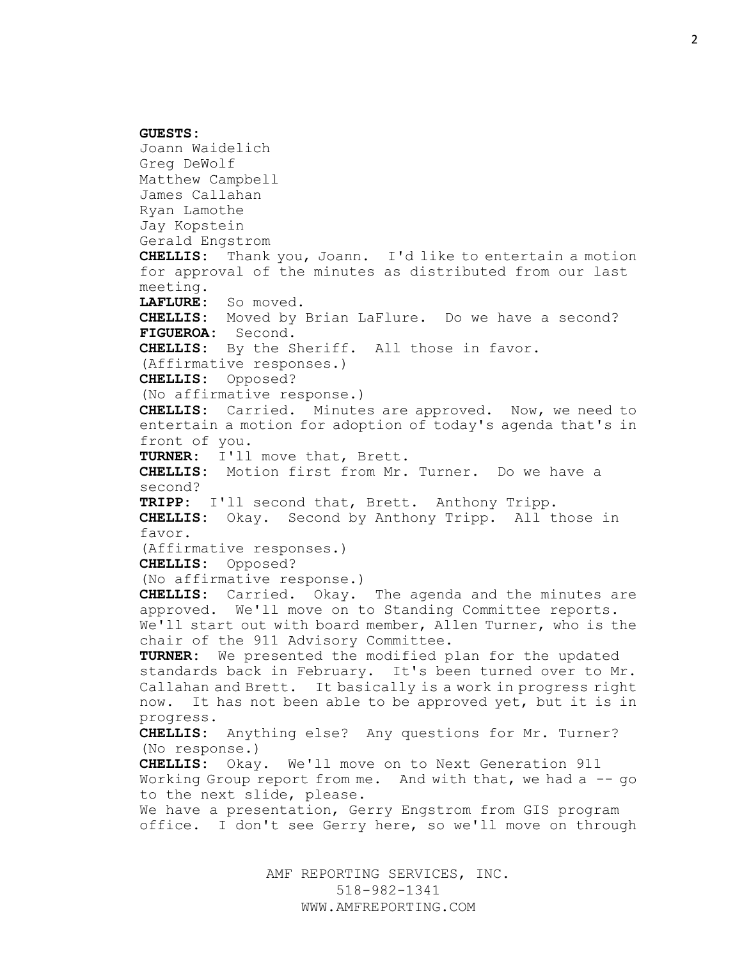**GUESTS:** Joann Waidelich Greg DeWolf Matthew Campbell James Callahan Ryan Lamothe Jay Kopstein Gerald Engstrom **CHELLIS:** Thank you, Joann. I'd like to entertain a motion for approval of the minutes as distributed from our last meeting. **LAFLURE:** So moved. **CHELLIS:** Moved by Brian LaFlure. Do we have a second? **FIGUEROA:** Second. **CHELLIS:** By the Sheriff. All those in favor. (Affirmative responses.) **CHELLIS:** Opposed? (No affirmative response.) **CHELLIS:** Carried. Minutes are approved. Now, we need to entertain a motion for adoption of today's agenda that's in front of you. **TURNER:** I'll move that, Brett. **CHELLIS:** Motion first from Mr. Turner. Do we have a second? **TRIPP:** I'll second that, Brett. Anthony Tripp. **CHELLIS:** Okay. Second by Anthony Tripp. All those in favor. (Affirmative responses.) **CHELLIS:** Opposed? (No affirmative response.) **CHELLIS:** Carried. Okay. The agenda and the minutes are approved. We'll move on to Standing Committee reports. We'll start out with board member, Allen Turner, who is the chair of the 911 Advisory Committee. **TURNER:** We presented the modified plan for the updated standards back in February. It's been turned over to Mr. Callahan and Brett. It basically is a work in progress right now. It has not been able to be approved yet, but it is in progress. **CHELLIS:** Anything else? Any questions for Mr. Turner? (No response.) **CHELLIS:** Okay. We'll move on to Next Generation 911 Working Group report from me. And with that, we had a -- go to the next slide, please. We have a presentation, Gerry Engstrom from GIS program office. I don't see Gerry here, so we'll move on through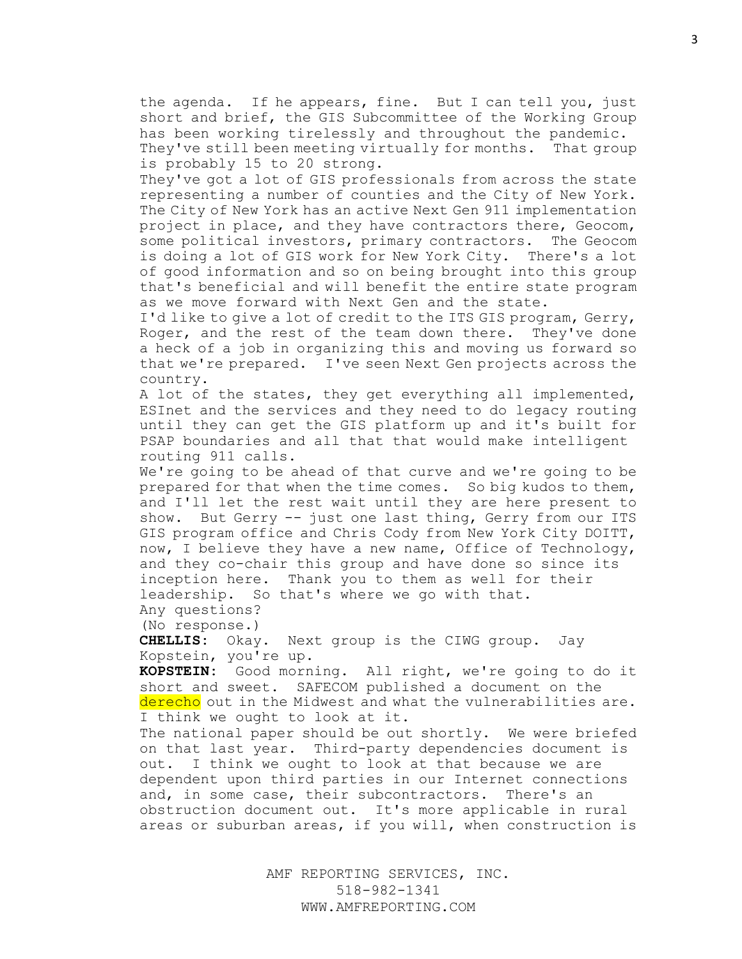the agenda. If he appears, fine. But I can tell you, just short and brief, the GIS Subcommittee of the Working Group has been working tirelessly and throughout the pandemic. They've still been meeting virtually for months. That group is probably 15 to 20 strong.

They've got a lot of GIS professionals from across the state representing a number of counties and the City of New York. The City of New York has an active Next Gen 911 implementation project in place, and they have contractors there, Geocom, some political investors, primary contractors. The Geocom is doing a lot of GIS work for New York City. There's a lot of good information and so on being brought into this group that's beneficial and will benefit the entire state program as we move forward with Next Gen and the state.

I'd like to give a lot of credit to the ITS GIS program, Gerry, Roger, and the rest of the team down there. They've done a heck of a job in organizing this and moving us forward so that we're prepared. I've seen Next Gen projects across the country.

A lot of the states, they get everything all implemented, ESInet and the services and they need to do legacy routing until they can get the GIS platform up and it's built for PSAP boundaries and all that that would make intelligent routing 911 calls.

We're going to be ahead of that curve and we're going to be prepared for that when the time comes. So big kudos to them, and I'll let the rest wait until they are here present to show. But Gerry -- just one last thing, Gerry from our ITS GIS program office and Chris Cody from New York City DOITT, now, I believe they have a new name, Office of Technology, and they co-chair this group and have done so since its inception here. Thank you to them as well for their leadership. So that's where we go with that.

Any questions? (No response.)

**CHELLIS:** Okay. Next group is the CIWG group. Jay Kopstein, you're up.

**KOPSTEIN:** Good morning. All right, we're going to do it short and sweet. SAFECOM published a document on the derecho out in the Midwest and what the vulnerabilities are. I think we ought to look at it.

The national paper should be out shortly. We were briefed on that last year. Third-party dependencies document is out. I think we ought to look at that because we are dependent upon third parties in our Internet connections and, in some case, their subcontractors. There's an obstruction document out. It's more applicable in rural areas or suburban areas, if you will, when construction is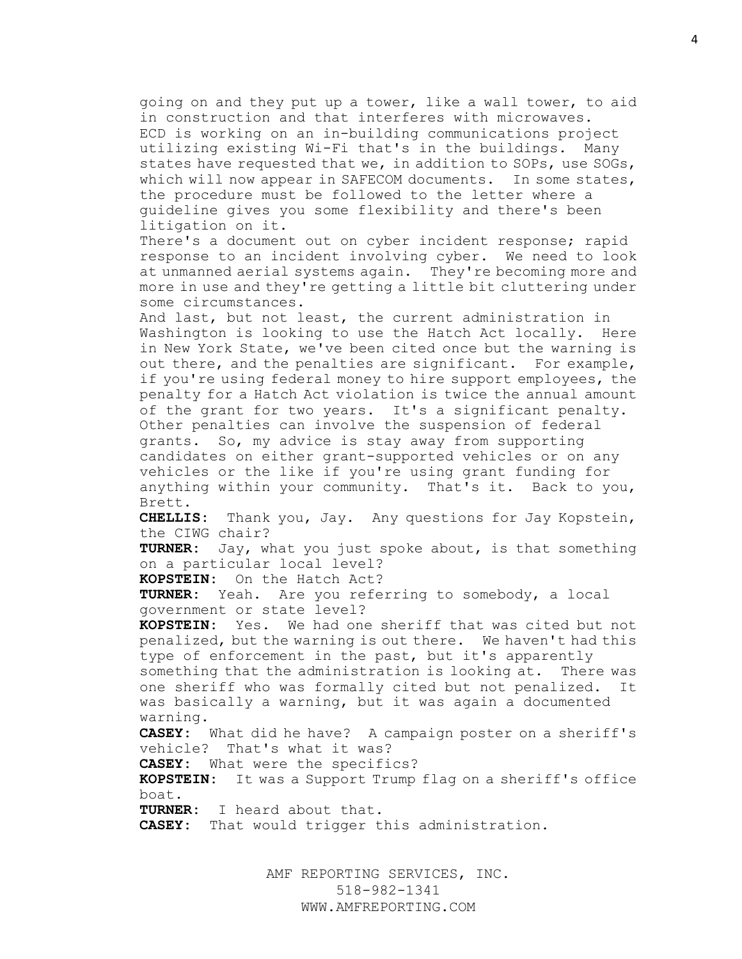going on and they put up a tower, like a wall tower, to aid in construction and that interferes with microwaves. ECD is working on an in-building communications project utilizing existing Wi-Fi that's in the buildings. Many states have requested that we, in addition to SOPs, use SOGs, which will now appear in SAFECOM documents. In some states, the procedure must be followed to the letter where a guideline gives you some flexibility and there's been litigation on it.

There's a document out on cyber incident response; rapid response to an incident involving cyber. We need to look at unmanned aerial systems again. They're becoming more and more in use and they're getting a little bit cluttering under some circumstances.

And last, but not least, the current administration in Washington is looking to use the Hatch Act locally. Here in New York State, we've been cited once but the warning is out there, and the penalties are significant. For example, if you're using federal money to hire support employees, the penalty for a Hatch Act violation is twice the annual amount of the grant for two years. It's a significant penalty. Other penalties can involve the suspension of federal grants. So, my advice is stay away from supporting candidates on either grant-supported vehicles or on any vehicles or the like if you're using grant funding for anything within your community. That's it. Back to you, Brett.

**CHELLIS:** Thank you, Jay. Any questions for Jay Kopstein, the CIWG chair?

**TURNER:** Jay, what you just spoke about, is that something on a particular local level?

**KOPSTEIN:** On the Hatch Act?

**TURNER:** Yeah. Are you referring to somebody, a local government or state level?

**KOPSTEIN:** Yes. We had one sheriff that was cited but not penalized, but the warning is out there. We haven't had this type of enforcement in the past, but it's apparently

something that the administration is looking at. There was one sheriff who was formally cited but not penalized. It was basically a warning, but it was again a documented warning.

**CASEY:** What did he have? A campaign poster on a sheriff's vehicle? That's what it was?

**CASEY:** What were the specifics?

**KOPSTEIN:** It was a Support Trump flag on a sheriff's office boat.

**TURNER:** I heard about that.

**CASEY:** That would trigger this administration.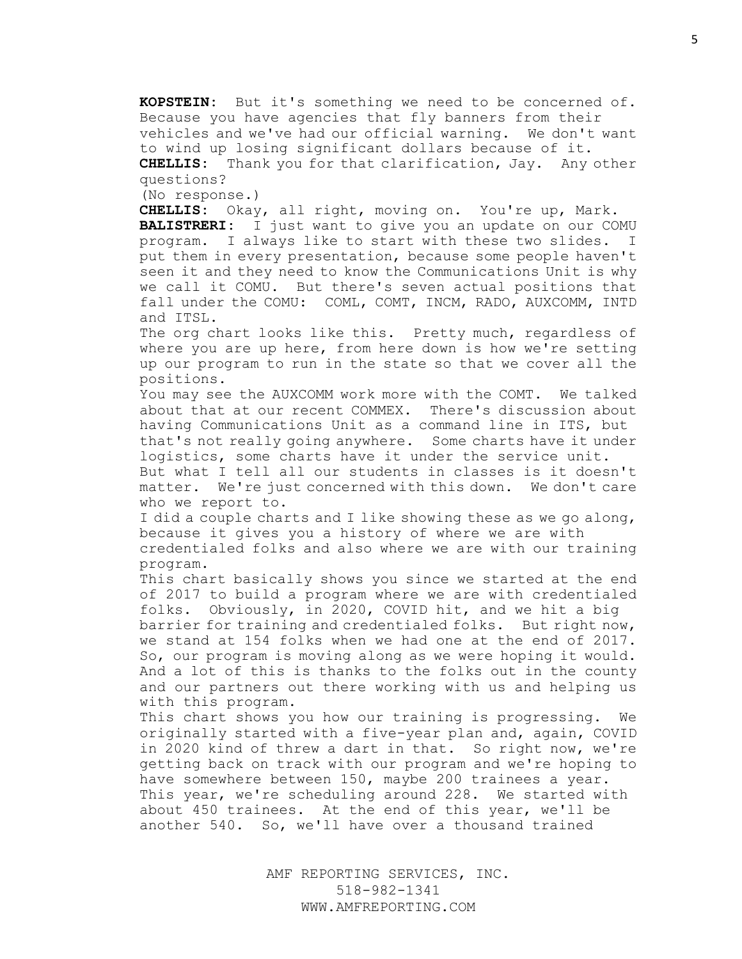**KOPSTEIN:** But it's something we need to be concerned of. Because you have agencies that fly banners from their vehicles and we've had our official warning. We don't want

to wind up losing significant dollars because of it.

**CHELLIS:** Thank you for that clarification, Jay. Any other questions?

(No response.)

**CHELLIS:** Okay, all right, moving on. You're up, Mark.

**BALISTRERI:** I just want to give you an update on our COMU program. I always like to start with these two slides. I put them in every presentation, because some people haven't seen it and they need to know the Communications Unit is why we call it COMU. But there's seven actual positions that fall under the COMU: COML, COMT, INCM, RADO, AUXCOMM, INTD and ITSL.

The org chart looks like this. Pretty much, regardless of where you are up here, from here down is how we're setting up our program to run in the state so that we cover all the positions.

You may see the AUXCOMM work more with the COMT. We talked about that at our recent COMMEX. There's discussion about having Communications Unit as a command line in ITS, but that's not really going anywhere. Some charts have it under logistics, some charts have it under the service unit.

But what I tell all our students in classes is it doesn't matter. We're just concerned with this down. We don't care who we report to.

I did a couple charts and I like showing these as we go along, because it gives you a history of where we are with

credentialed folks and also where we are with our training program.

This chart basically shows you since we started at the end of 2017 to build a program where we are with credentialed folks. Obviously, in 2020, COVID hit, and we hit a big

barrier for training and credentialed folks. But right now, we stand at 154 folks when we had one at the end of 2017. So, our program is moving along as we were hoping it would. And a lot of this is thanks to the folks out in the county and our partners out there working with us and helping us with this program.

This chart shows you how our training is progressing. We originally started with a five-year plan and, again, COVID in 2020 kind of threw a dart in that. So right now, we're getting back on track with our program and we're hoping to have somewhere between 150, maybe 200 trainees a year. This year, we're scheduling around 228. We started with about 450 trainees. At the end of this year, we'll be another 540. So, we'll have over a thousand trained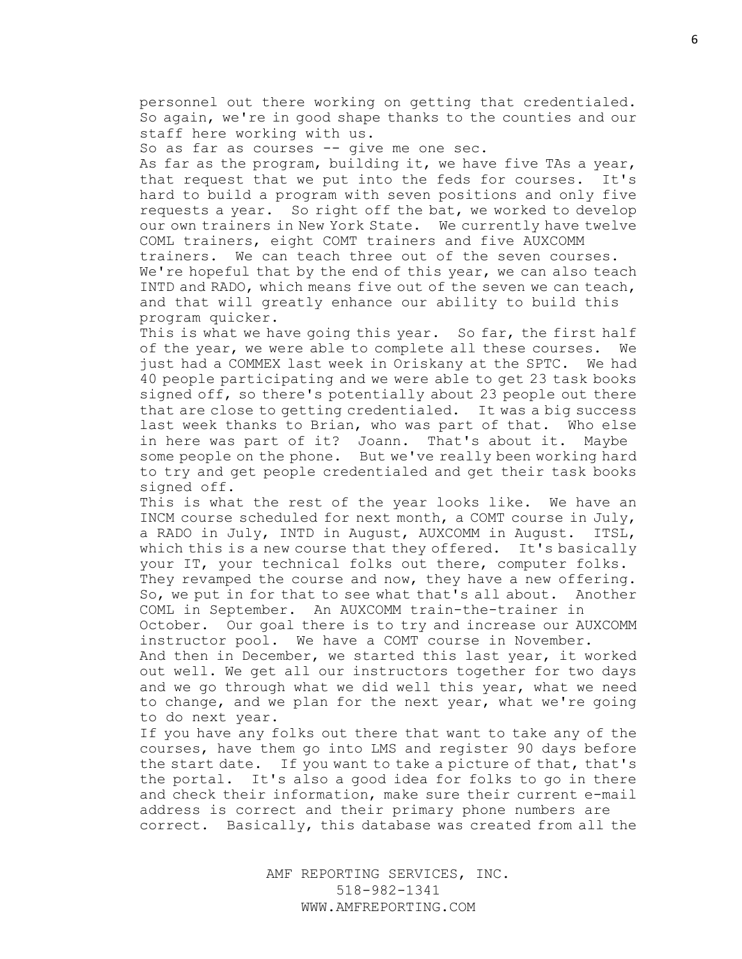personnel out there working on getting that credentialed. So again, we're in good shape thanks to the counties and our staff here working with us.

So as far as courses -- give me one sec.

As far as the program, building it, we have five TAs a year, that request that we put into the feds for courses. It's hard to build a program with seven positions and only five requests a year. So right off the bat, we worked to develop our own trainers in New York State. We currently have twelve COML trainers, eight COMT trainers and five AUXCOMM trainers. We can teach three out of the seven courses. We're hopeful that by the end of this year, we can also teach INTD and RADO, which means five out of the seven we can teach, and that will greatly enhance our ability to build this program quicker.

This is what we have going this year. So far, the first half of the year, we were able to complete all these courses. We just had a COMMEX last week in Oriskany at the SPTC. We had 40 people participating and we were able to get 23 task books signed off, so there's potentially about 23 people out there that are close to getting credentialed. It was a big success last week thanks to Brian, who was part of that. Who else in here was part of it? Joann. That's about it. Maybe some people on the phone. But we've really been working hard to try and get people credentialed and get their task books signed off.

This is what the rest of the year looks like. We have an INCM course scheduled for next month, a COMT course in July, a RADO in July, INTD in August, AUXCOMM in August. ITSL, which this is a new course that they offered. It's basically your IT, your technical folks out there, computer folks. They revamped the course and now, they have a new offering. So, we put in for that to see what that's all about. Another

COML in September. An AUXCOMM train-the-trainer in October. Our goal there is to try and increase our AUXCOMM instructor pool. We have a COMT course in November.

And then in December, we started this last year, it worked out well. We get all our instructors together for two days and we go through what we did well this year, what we need to change, and we plan for the next year, what we're going to do next year.

If you have any folks out there that want to take any of the courses, have them go into LMS and register 90 days before the start date. If you want to take a picture of that, that's the portal. It's also a good idea for folks to go in there and check their information, make sure their current e-mail address is correct and their primary phone numbers are correct. Basically, this database was created from all the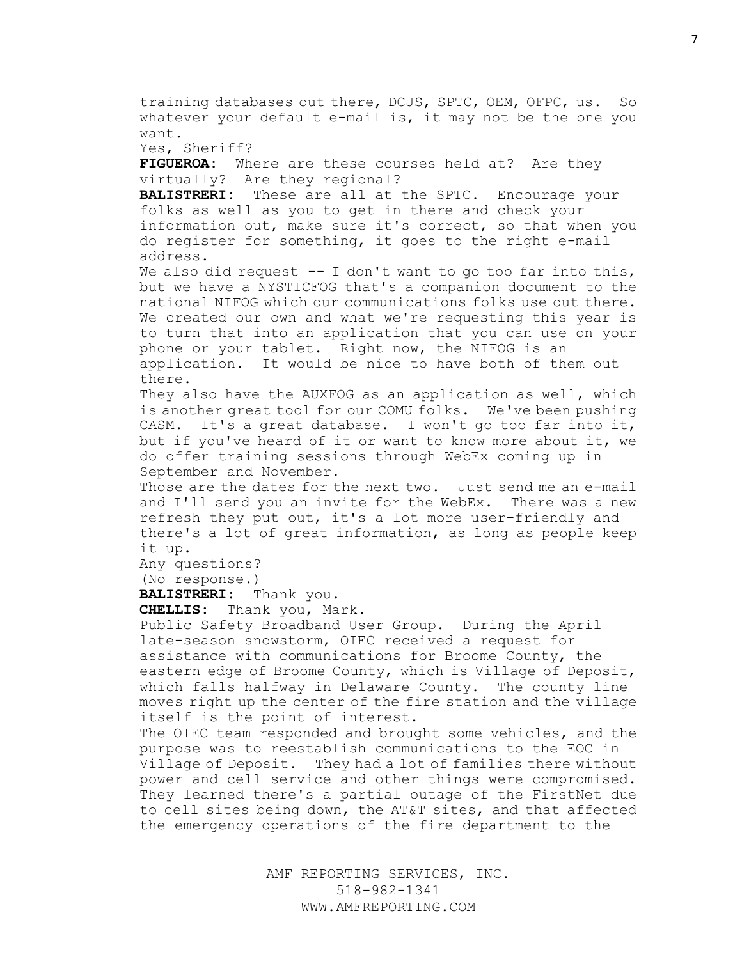training databases out there, DCJS, SPTC, OEM, OFPC, us. So whatever your default e-mail is, it may not be the one you want. Yes, Sheriff? **FIGUEROA:** Where are these courses held at? Are they virtually? Are they regional? **BALISTRERI:** These are all at the SPTC. Encourage your folks as well as you to get in there and check your information out, make sure it's correct, so that when you do register for something, it goes to the right e-mail address. We also did request  $-$ - I don't want to go too far into this, but we have a NYSTICFOG that's a companion document to the national NIFOG which our communications folks use out there. We created our own and what we're requesting this year is to turn that into an application that you can use on your phone or your tablet. Right now, the NIFOG is an application. It would be nice to have both of them out there. They also have the AUXFOG as an application as well, which is another great tool for our COMU folks. We've been pushing CASM. It's a great database. I won't go too far into it, but if you've heard of it or want to know more about it, we do offer training sessions through WebEx coming up in September and November. Those are the dates for the next two. Just send me an e-mail and I'll send you an invite for the WebEx. There was a new refresh they put out, it's a lot more user-friendly and there's a lot of great information, as long as people keep it up. Any questions? (No response.) **BALISTRERI:** Thank you. **CHELLIS:** Thank you, Mark. Public Safety Broadband User Group. During the April late-season snowstorm, OIEC received a request for assistance with communications for Broome County, the eastern edge of Broome County, which is Village of Deposit, which falls halfway in Delaware County. The county line moves right up the center of the fire station and the village

itself is the point of interest. The OIEC team responded and brought some vehicles, and the

purpose was to reestablish communications to the EOC in Village of Deposit. They had a lot of families there without power and cell service and other things were compromised. They learned there's a partial outage of the FirstNet due to cell sites being down, the AT&T sites, and that affected the emergency operations of the fire department to the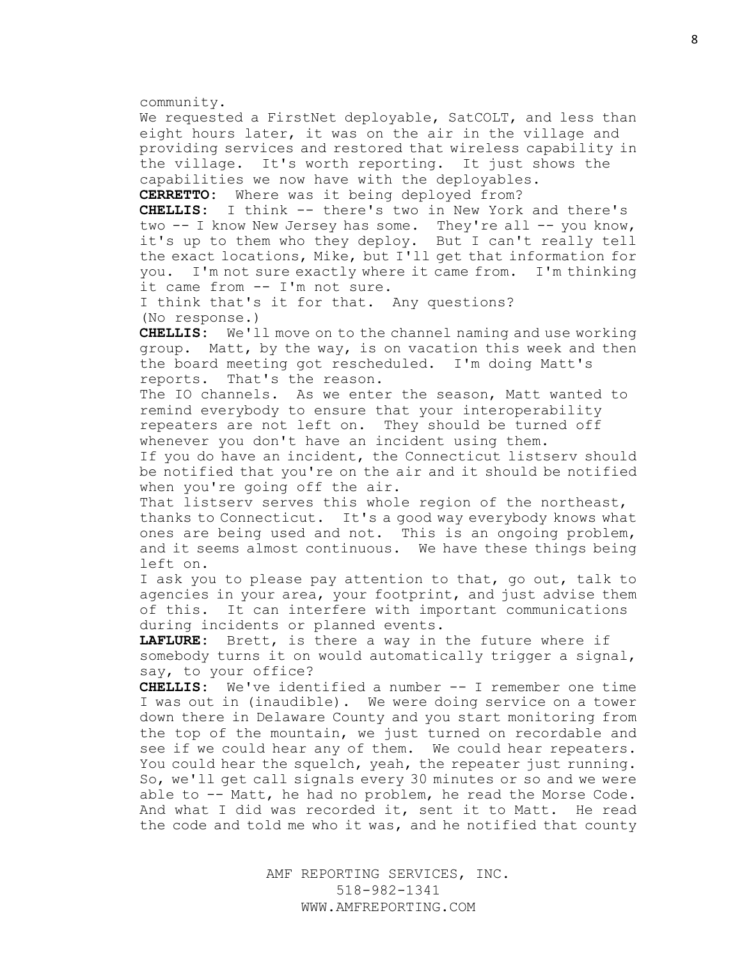community.

We requested a FirstNet deployable, SatCOLT, and less than eight hours later, it was on the air in the village and providing services and restored that wireless capability in the village. It's worth reporting. It just shows the capabilities we now have with the deployables.

**CERRETTO:** Where was it being deployed from?

**CHELLIS:** I think -- there's two in New York and there's two -- I know New Jersey has some. They're all -- you know, it's up to them who they deploy. But I can't really tell the exact locations, Mike, but I'll get that information for you. I'm not sure exactly where it came from. I'm thinking it came from -- I'm not sure.

I think that's it for that. Any questions? (No response.)

**CHELLIS:** We'll move on to the channel naming and use working group. Matt, by the way, is on vacation this week and then the board meeting got rescheduled. I'm doing Matt's reports. That's the reason.

The IO channels. As we enter the season, Matt wanted to remind everybody to ensure that your interoperability repeaters are not left on. They should be turned off whenever you don't have an incident using them.

If you do have an incident, the Connecticut listserv should be notified that you're on the air and it should be notified when you're going off the air.

That listserv serves this whole region of the northeast, thanks to Connecticut. It's a good way everybody knows what ones are being used and not. This is an ongoing problem, and it seems almost continuous. We have these things being left on.

I ask you to please pay attention to that, go out, talk to agencies in your area, your footprint, and just advise them of this. It can interfere with important communications during incidents or planned events.

**LAFLURE:** Brett, is there a way in the future where if somebody turns it on would automatically trigger a signal, say, to your office?

**CHELLIS:** We've identified a number -- I remember one time I was out in (inaudible). We were doing service on a tower down there in Delaware County and you start monitoring from the top of the mountain, we just turned on recordable and see if we could hear any of them. We could hear repeaters. You could hear the squelch, yeah, the repeater just running. So, we'll get call signals every 30 minutes or so and we were able to -- Matt, he had no problem, he read the Morse Code. And what I did was recorded it, sent it to Matt. He read the code and told me who it was, and he notified that county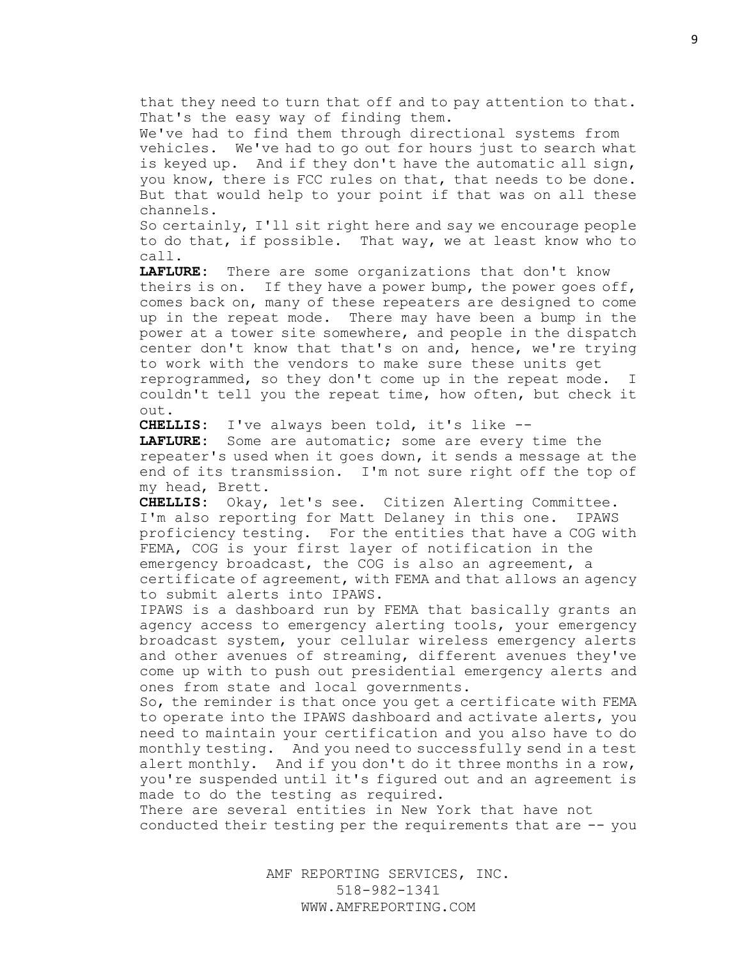that they need to turn that off and to pay attention to that. That's the easy way of finding them.

We've had to find them through directional systems from vehicles. We've had to go out for hours just to search what is keyed up. And if they don't have the automatic all sign, you know, there is FCC rules on that, that needs to be done. But that would help to your point if that was on all these channels.

So certainly, I'll sit right here and say we encourage people to do that, if possible. That way, we at least know who to call.

**LAFLURE:** There are some organizations that don't know theirs is on. If they have a power bump, the power goes off, comes back on, many of these repeaters are designed to come up in the repeat mode. There may have been a bump in the power at a tower site somewhere, and people in the dispatch center don't know that that's on and, hence, we're trying to work with the vendors to make sure these units get reprogrammed, so they don't come up in the repeat mode. I couldn't tell you the repeat time, how often, but check it out.

**CHELLIS:** I've always been told, it's like --

**LAFLURE:** Some are automatic; some are every time the repeater's used when it goes down, it sends a message at the end of its transmission. I'm not sure right off the top of my head, Brett.

**CHELLIS:** Okay, let's see. Citizen Alerting Committee. I'm also reporting for Matt Delaney in this one. IPAWS proficiency testing. For the entities that have a COG with FEMA, COG is your first layer of notification in the emergency broadcast, the COG is also an agreement, a certificate of agreement, with FEMA and that allows an agency to submit alerts into IPAWS.

IPAWS is a dashboard run by FEMA that basically grants an agency access to emergency alerting tools, your emergency broadcast system, your cellular wireless emergency alerts and other avenues of streaming, different avenues they've come up with to push out presidential emergency alerts and ones from state and local governments.

So, the reminder is that once you get a certificate with FEMA to operate into the IPAWS dashboard and activate alerts, you need to maintain your certification and you also have to do monthly testing. And you need to successfully send in a test alert monthly. And if you don't do it three months in a row, you're suspended until it's figured out and an agreement is made to do the testing as required.

There are several entities in New York that have not conducted their testing per the requirements that are -- you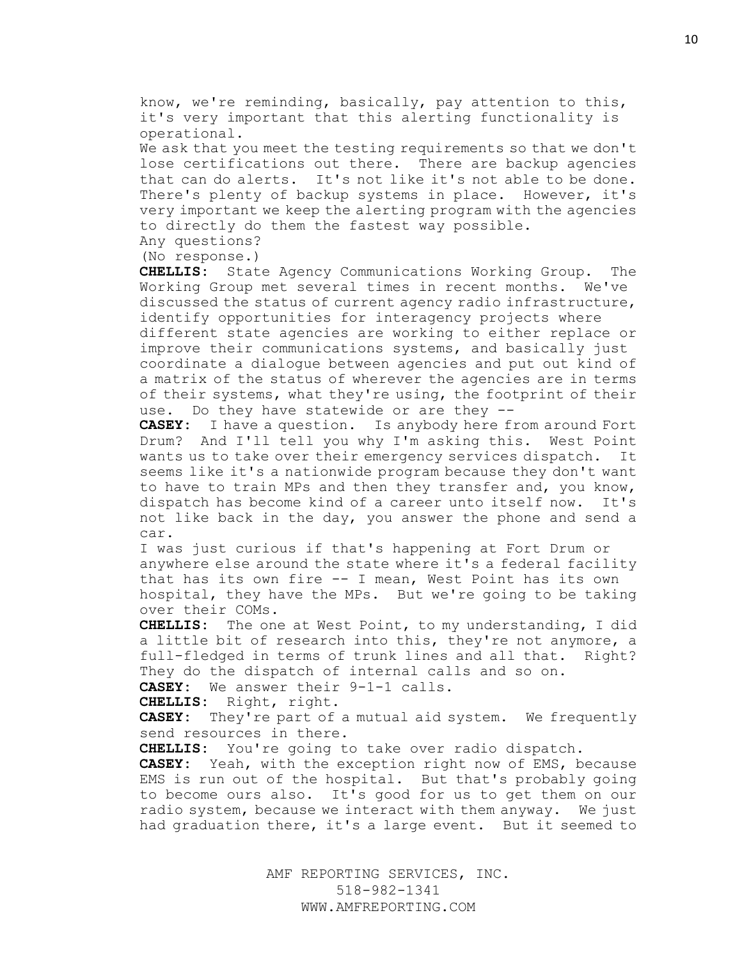know, we're reminding, basically, pay attention to this, it's very important that this alerting functionality is operational.

We ask that you meet the testing requirements so that we don't lose certifications out there. There are backup agencies that can do alerts. It's not like it's not able to be done. There's plenty of backup systems in place. However, it's very important we keep the alerting program with the agencies to directly do them the fastest way possible.

Any questions?

(No response.)

**CHELLIS:** State Agency Communications Working Group. The Working Group met several times in recent months. We've discussed the status of current agency radio infrastructure, identify opportunities for interagency projects where

different state agencies are working to either replace or improve their communications systems, and basically just coordinate a dialogue between agencies and put out kind of a matrix of the status of wherever the agencies are in terms of their systems, what they're using, the footprint of their use. Do they have statewide or are they --

**CASEY:** I have a question. Is anybody here from around Fort Drum? And I'll tell you why I'm asking this. West Point wants us to take over their emergency services dispatch. It seems like it's a nationwide program because they don't want to have to train MPs and then they transfer and, you know, dispatch has become kind of a career unto itself now. It's not like back in the day, you answer the phone and send a car.

I was just curious if that's happening at Fort Drum or anywhere else around the state where it's a federal facility that has its own fire -- I mean, West Point has its own hospital, they have the MPs. But we're going to be taking over their COMs.

**CHELLIS:** The one at West Point, to my understanding, I did a little bit of research into this, they're not anymore, a full-fledged in terms of trunk lines and all that. Right? They do the dispatch of internal calls and so on.

**CASEY:** We answer their 9-1-1 calls.

**CHELLIS:** Right, right.

**CASEY:** They're part of a mutual aid system. We frequently send resources in there.

**CHELLIS:** You're going to take over radio dispatch.

**CASEY:** Yeah, with the exception right now of EMS, because EMS is run out of the hospital. But that's probably going to become ours also. It's good for us to get them on our radio system, because we interact with them anyway. We just had graduation there, it's a large event. But it seemed to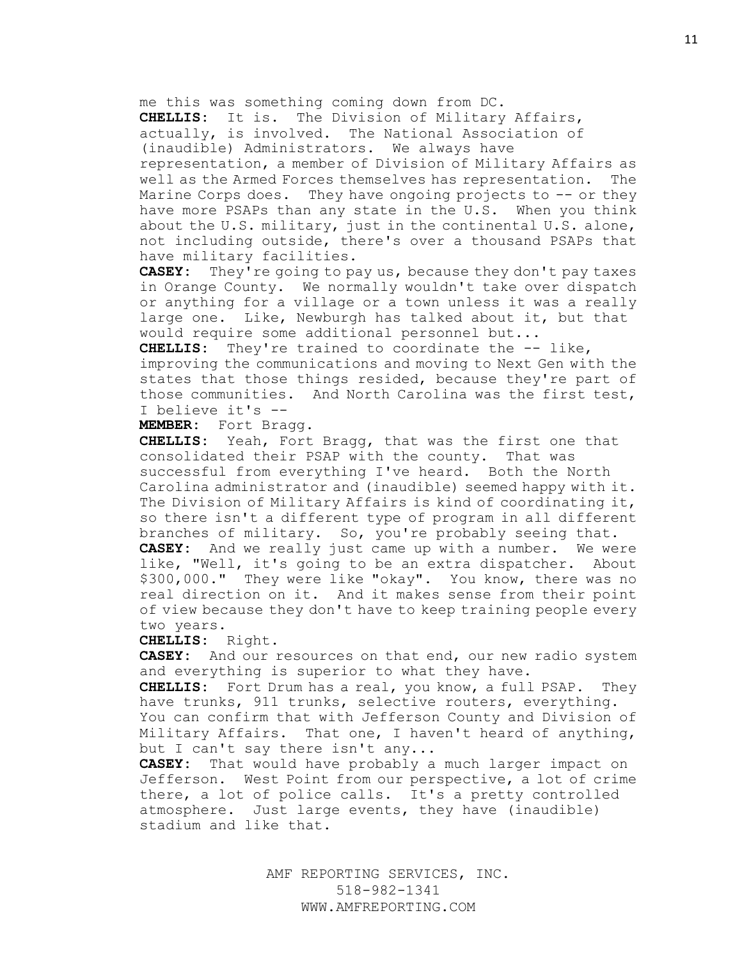me this was something coming down from DC.

**CHELLIS:** It is. The Division of Military Affairs, actually, is involved. The National Association of

(inaudible) Administrators. We always have

representation, a member of Division of Military Affairs as well as the Armed Forces themselves has representation. The Marine Corps does. They have ongoing projects to -- or they have more PSAPs than any state in the U.S. When you think about the U.S. military, just in the continental U.S. alone, not including outside, there's over a thousand PSAPs that have military facilities.

**CASEY:** They're going to pay us, because they don't pay taxes in Orange County. We normally wouldn't take over dispatch or anything for a village or a town unless it was a really large one. Like, Newburgh has talked about it, but that would require some additional personnel but...

**CHELLIS:** They're trained to coordinate the -- like, improving the communications and moving to Next Gen with the states that those things resided, because they're part of those communities. And North Carolina was the first test, I believe it's --

**MEMBER:** Fort Bragg.

**CHELLIS:** Yeah, Fort Bragg, that was the first one that consolidated their PSAP with the county. That was successful from everything I've heard. Both the North Carolina administrator and (inaudible) seemed happy with it. The Division of Military Affairs is kind of coordinating it, so there isn't a different type of program in all different branches of military. So, you're probably seeing that. **CASEY:** And we really just came up with a number. We were like, "Well, it's going to be an extra dispatcher. About \$300,000." They were like "okay". You know, there was no real direction on it. And it makes sense from their point of view because they don't have to keep training people every two years.

**CHELLIS:** Right.

**CASEY:** And our resources on that end, our new radio system and everything is superior to what they have.

**CHELLIS:** Fort Drum has a real, you know, a full PSAP. They have trunks, 911 trunks, selective routers, everything. You can confirm that with Jefferson County and Division of Military Affairs. That one, I haven't heard of anything, but I can't say there isn't any...

**CASEY:** That would have probably a much larger impact on Jefferson. West Point from our perspective, a lot of crime there, a lot of police calls. It's a pretty controlled atmosphere. Just large events, they have (inaudible) stadium and like that.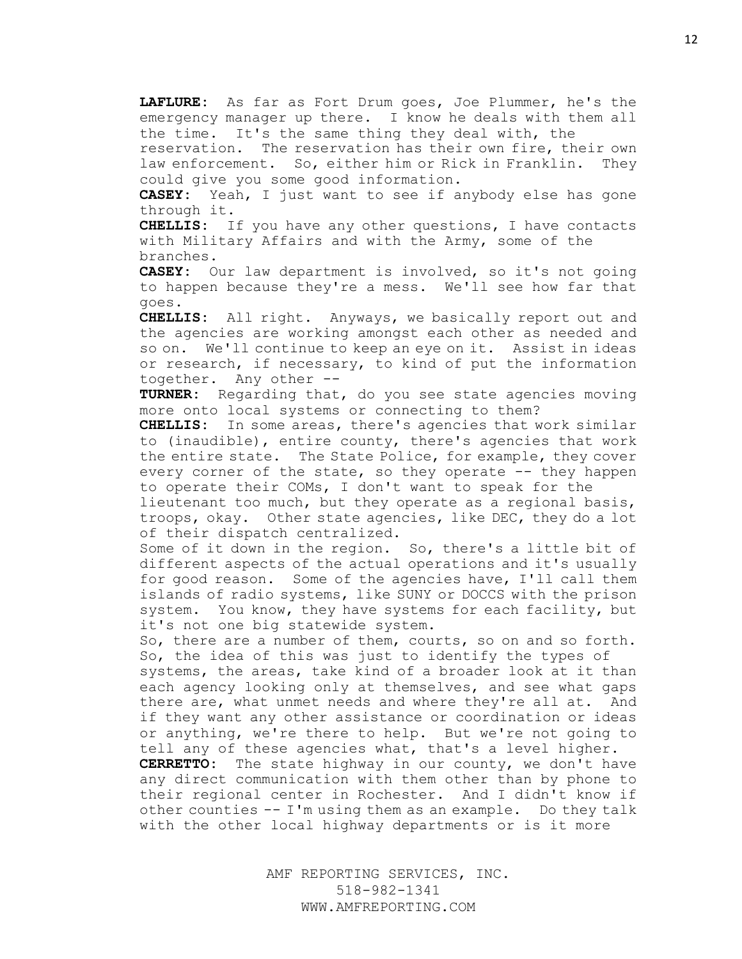**LAFLURE:** As far as Fort Drum goes, Joe Plummer, he's the emergency manager up there. I know he deals with them all the time. It's the same thing they deal with, the

reservation. The reservation has their own fire, their own law enforcement. So, either him or Rick in Franklin. They could give you some good information.

**CASEY:** Yeah, I just want to see if anybody else has gone through it.

**CHELLIS:** If you have any other questions, I have contacts with Military Affairs and with the Army, some of the branches.

**CASEY:** Our law department is involved, so it's not going to happen because they're a mess. We'll see how far that goes.

**CHELLIS:** All right. Anyways, we basically report out and the agencies are working amongst each other as needed and so on. We'll continue to keep an eye on it. Assist in ideas or research, if necessary, to kind of put the information together. Any other --

**TURNER:** Regarding that, do you see state agencies moving more onto local systems or connecting to them?

**CHELLIS:** In some areas, there's agencies that work similar to (inaudible), entire county, there's agencies that work the entire state. The State Police, for example, they cover every corner of the state, so they operate -- they happen to operate their COMs, I don't want to speak for the

lieutenant too much, but they operate as a regional basis, troops, okay. Other state agencies, like DEC, they do a lot of their dispatch centralized.

Some of it down in the region. So, there's a little bit of different aspects of the actual operations and it's usually for good reason. Some of the agencies have, I'll call them islands of radio systems, like SUNY or DOCCS with the prison system. You know, they have systems for each facility, but it's not one big statewide system.

So, there are a number of them, courts, so on and so forth. So, the idea of this was just to identify the types of

systems, the areas, take kind of a broader look at it than each agency looking only at themselves, and see what gaps there are, what unmet needs and where they're all at. And if they want any other assistance or coordination or ideas or anything, we're there to help. But we're not going to tell any of these agencies what, that's a level higher.

**CERRETTO:** The state highway in our county, we don't have any direct communication with them other than by phone to their regional center in Rochester. And I didn't know if other counties -- I'm using them as an example. Do they talk with the other local highway departments or is it more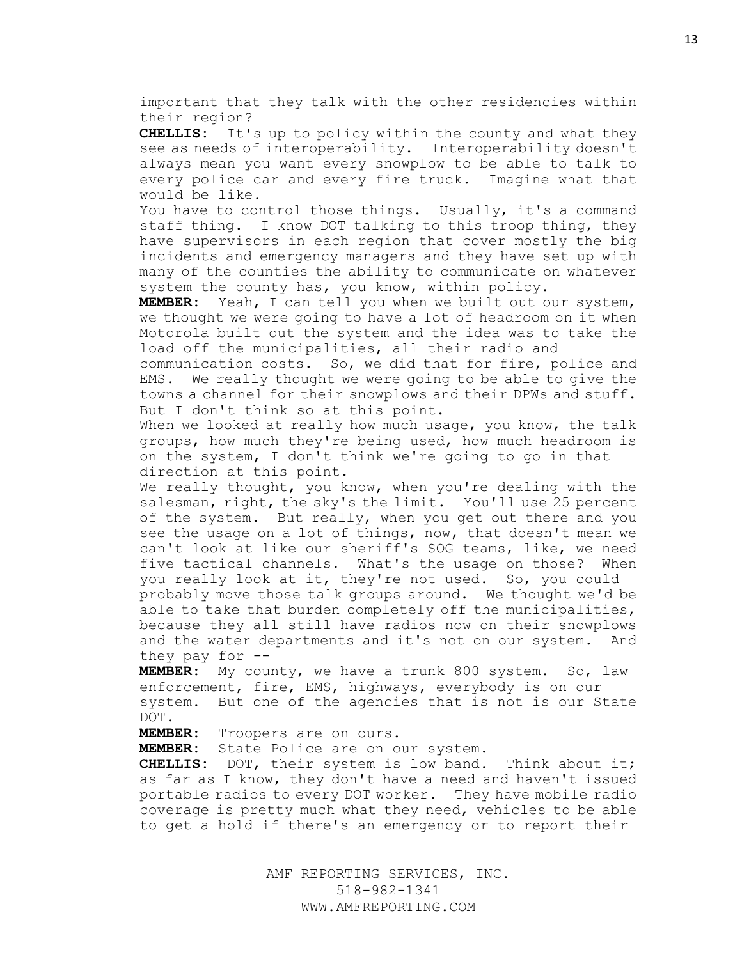important that they talk with the other residencies within their region?

**CHELLIS:** It's up to policy within the county and what they see as needs of interoperability. Interoperability doesn't always mean you want every snowplow to be able to talk to every police car and every fire truck. Imagine what that would be like.

You have to control those things. Usually, it's a command staff thing. I know DOT talking to this troop thing, they have supervisors in each region that cover mostly the big incidents and emergency managers and they have set up with many of the counties the ability to communicate on whatever system the county has, you know, within policy.

**MEMBER:** Yeah, I can tell you when we built out our system, we thought we were going to have a lot of headroom on it when Motorola built out the system and the idea was to take the load off the municipalities, all their radio and

communication costs. So, we did that for fire, police and EMS. We really thought we were going to be able to give the towns a channel for their snowplows and their DPWs and stuff. But I don't think so at this point.

When we looked at really how much usage, you know, the talk groups, how much they're being used, how much headroom is on the system, I don't think we're going to go in that direction at this point.

We really thought, you know, when you're dealing with the salesman, right, the sky's the limit. You'll use 25 percent of the system. But really, when you get out there and you see the usage on a lot of things, now, that doesn't mean we can't look at like our sheriff's SOG teams, like, we need five tactical channels. What's the usage on those? When you really look at it, they're not used. So, you could probably move those talk groups around. We thought we'd be able to take that burden completely off the municipalities, because they all still have radios now on their snowplows and the water departments and it's not on our system. And they pay for  $-$ -

**MEMBER:** My county, we have a trunk 800 system. So, law enforcement, fire, EMS, highways, everybody is on our system. But one of the agencies that is not is our State DOT.

**MEMBER:** Troopers are on ours.

**MEMBER:** State Police are on our system.

**CHELLIS:** DOT, their system is low band. Think about it; as far as I know, they don't have a need and haven't issued portable radios to every DOT worker. They have mobile radio coverage is pretty much what they need, vehicles to be able to get a hold if there's an emergency or to report their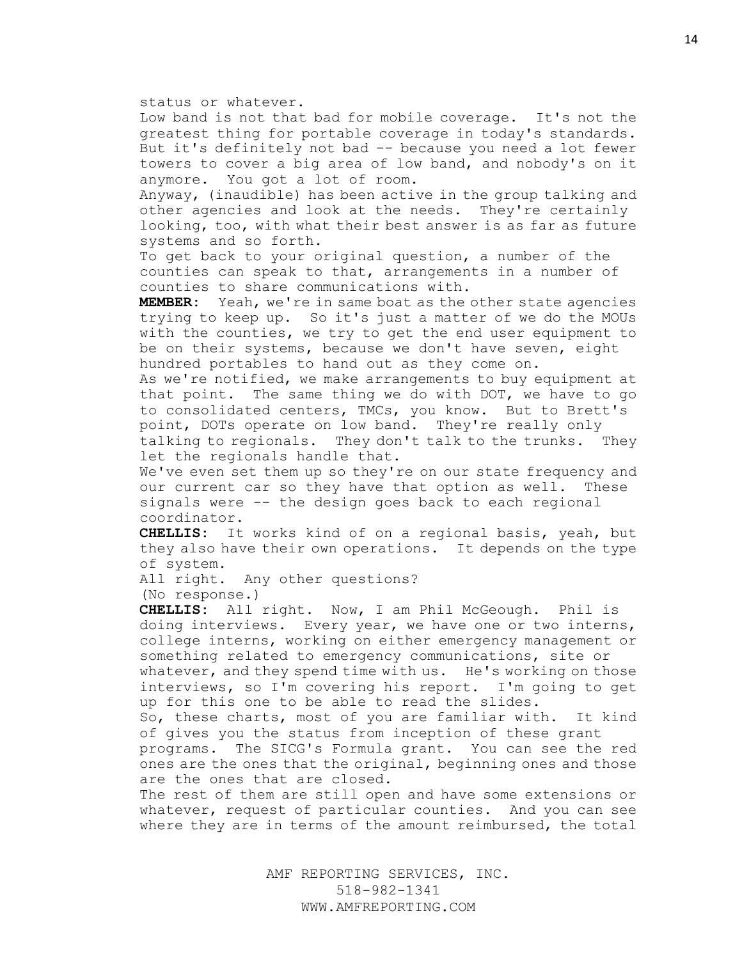#### status or whatever.

Low band is not that bad for mobile coverage. It's not the greatest thing for portable coverage in today's standards. But it's definitely not bad -- because you need a lot fewer towers to cover a big area of low band, and nobody's on it anymore. You got a lot of room.

Anyway, (inaudible) has been active in the group talking and other agencies and look at the needs. They're certainly looking, too, with what their best answer is as far as future systems and so forth.

To get back to your original question, a number of the counties can speak to that, arrangements in a number of counties to share communications with.

**MEMBER:** Yeah, we're in same boat as the other state agencies trying to keep up. So it's just a matter of we do the MOUs with the counties, we try to get the end user equipment to be on their systems, because we don't have seven, eight hundred portables to hand out as they come on.

As we're notified, we make arrangements to buy equipment at that point. The same thing we do with DOT, we have to go to consolidated centers, TMCs, you know. But to Brett's point, DOTs operate on low band. They're really only talking to regionals. They don't talk to the trunks. They let the regionals handle that.

We've even set them up so they're on our state frequency and our current car so they have that option as well. These signals were -- the design goes back to each regional coordinator.

**CHELLIS:** It works kind of on a regional basis, yeah, but they also have their own operations. It depends on the type of system.

All right. Any other questions?

(No response.)

**CHELLIS:** All right. Now, I am Phil McGeough. Phil is doing interviews. Every year, we have one or two interns, college interns, working on either emergency management or something related to emergency communications, site or whatever, and they spend time with us. He's working on those interviews, so I'm covering his report. I'm going to get up for this one to be able to read the slides.

So, these charts, most of you are familiar with. It kind of gives you the status from inception of these grant

programs. The SICG's Formula grant. You can see the red ones are the ones that the original, beginning ones and those are the ones that are closed.

The rest of them are still open and have some extensions or whatever, request of particular counties. And you can see where they are in terms of the amount reimbursed, the total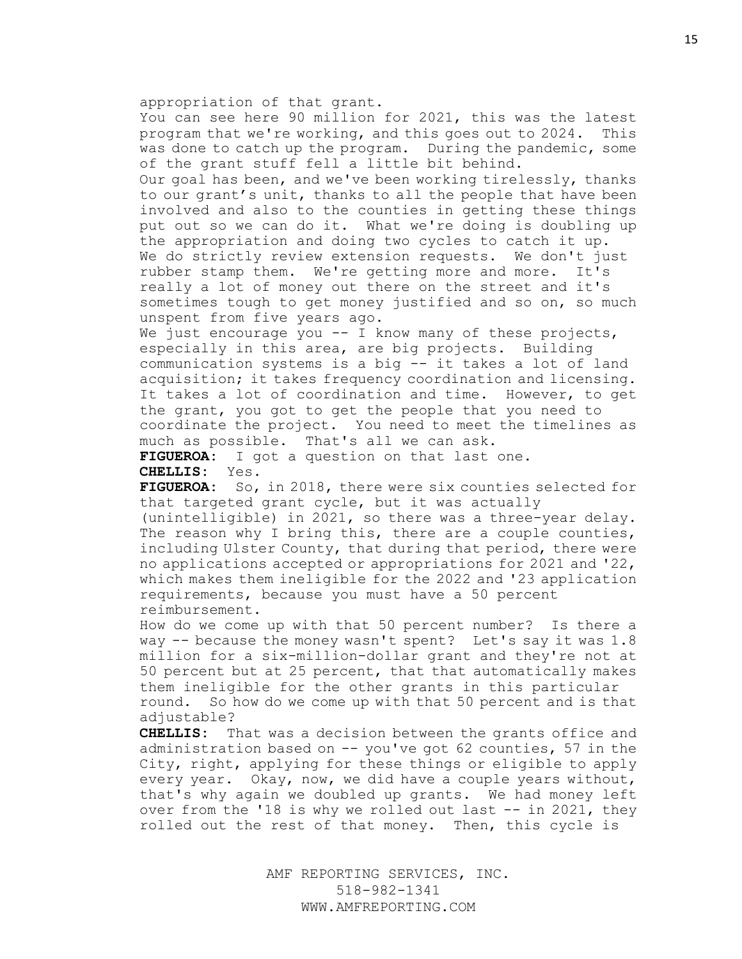appropriation of that grant.

You can see here 90 million for 2021, this was the latest program that we're working, and this goes out to 2024. This was done to catch up the program. During the pandemic, some of the grant stuff fell a little bit behind.

Our goal has been, and we've been working tirelessly, thanks to our grant's unit, thanks to all the people that have been involved and also to the counties in getting these things put out so we can do it. What we're doing is doubling up the appropriation and doing two cycles to catch it up. We do strictly review extension requests. We don't just rubber stamp them. We're getting more and more. It's really a lot of money out there on the street and it's sometimes tough to get money justified and so on, so much unspent from five years ago.

We just encourage you -- I know many of these projects, especially in this area, are big projects. Building communication systems is a big -- it takes a lot of land acquisition; it takes frequency coordination and licensing. It takes a lot of coordination and time. However, to get the grant, you got to get the people that you need to coordinate the project. You need to meet the timelines as much as possible. That's all we can ask.

**FIGUEROA:** I got a question on that last one. **CHELLIS:** Yes.

**FIGUEROA:** So, in 2018, there were six counties selected for that targeted grant cycle, but it was actually

(unintelligible) in 2021, so there was a three-year delay. The reason why I bring this, there are a couple counties, including Ulster County, that during that period, there were no applications accepted or appropriations for 2021 and '22, which makes them ineligible for the 2022 and '23 application requirements, because you must have a 50 percent reimbursement.

How do we come up with that 50 percent number? Is there a way -- because the money wasn't spent? Let's say it was 1.8 million for a six-million-dollar grant and they're not at 50 percent but at 25 percent, that that automatically makes them ineligible for the other grants in this particular round. So how do we come up with that 50 percent and is that adjustable?

**CHELLIS:** That was a decision between the grants office and administration based on -- you've got 62 counties, 57 in the City, right, applying for these things or eligible to apply every year. Okay, now, we did have a couple years without, that's why again we doubled up grants. We had money left over from the '18 is why we rolled out last -- in 2021, they rolled out the rest of that money. Then, this cycle is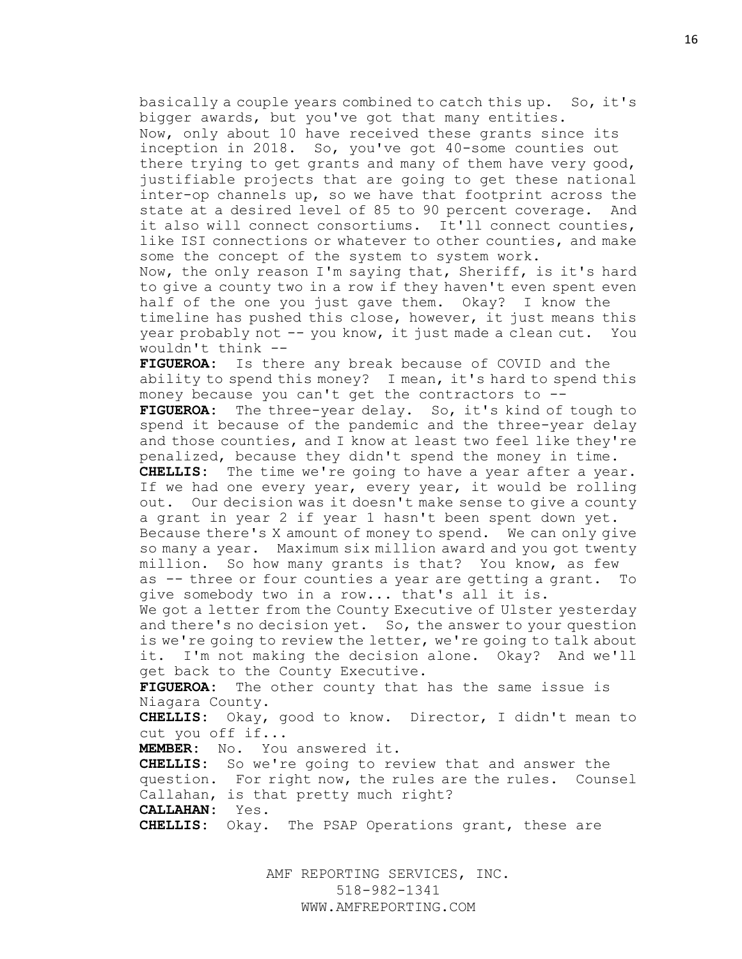basically a couple years combined to catch this up. So, it's bigger awards, but you've got that many entities. Now, only about 10 have received these grants since its inception in 2018. So, you've got 40-some counties out there trying to get grants and many of them have very good, justifiable projects that are going to get these national inter-op channels up, so we have that footprint across the state at a desired level of 85 to 90 percent coverage. And it also will connect consortiums. It'll connect counties, like ISI connections or whatever to other counties, and make some the concept of the system to system work. Now, the only reason I'm saying that, Sheriff, is it's hard to give a county two in a row if they haven't even spent even half of the one you just gave them. Okay? I know the

timeline has pushed this close, however, it just means this year probably not -- you know, it just made a clean cut. You wouldn't think --

**FIGUEROA:** Is there any break because of COVID and the ability to spend this money? I mean, it's hard to spend this money because you can't get the contractors to --

**FIGUEROA:** The three-year delay. So, it's kind of tough to spend it because of the pandemic and the three-year delay and those counties, and I know at least two feel like they're penalized, because they didn't spend the money in time.

**CHELLIS:** The time we're going to have a year after a year. If we had one every year, every year, it would be rolling out. Our decision was it doesn't make sense to give a county a grant in year 2 if year 1 hasn't been spent down yet.

Because there's X amount of money to spend. We can only give so many a year. Maximum six million award and you got twenty million. So how many grants is that? You know, as few as -- three or four counties a year are getting a grant. To give somebody two in a row... that's all it is.

We got a letter from the County Executive of Ulster yesterday and there's no decision yet. So, the answer to your question is we're going to review the letter, we're going to talk about it. I'm not making the decision alone. Okay? And we'll get back to the County Executive.

**FIGUEROA:** The other county that has the same issue is Niagara County.

**CHELLIS:** Okay, good to know. Director, I didn't mean to cut you off if...

**MEMBER:** No. You answered it.

**CHELLIS:** So we're going to review that and answer the question. For right now, the rules are the rules. Counsel Callahan, is that pretty much right?

**CALLAHAN:** Yes.

**CHELLIS:** Okay. The PSAP Operations grant, these are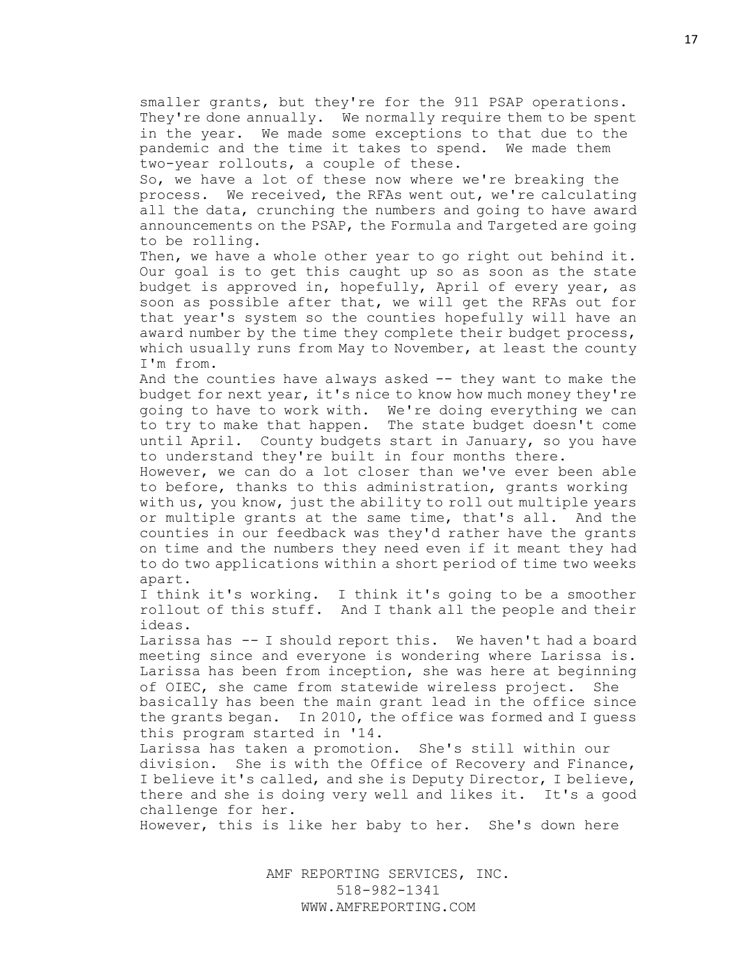smaller grants, but they're for the 911 PSAP operations. They're done annually. We normally require them to be spent in the year. We made some exceptions to that due to the pandemic and the time it takes to spend. We made them two-year rollouts, a couple of these.

So, we have a lot of these now where we're breaking the process. We received, the RFAs went out, we're calculating all the data, crunching the numbers and going to have award announcements on the PSAP, the Formula and Targeted are going to be rolling.

Then, we have a whole other year to go right out behind it. Our goal is to get this caught up so as soon as the state budget is approved in, hopefully, April of every year, as soon as possible after that, we will get the RFAs out for that year's system so the counties hopefully will have an award number by the time they complete their budget process, which usually runs from May to November, at least the county I'm from.

And the counties have always asked -- they want to make the budget for next year, it's nice to know how much money they're going to have to work with. We're doing everything we can to try to make that happen. The state budget doesn't come until April. County budgets start in January, so you have to understand they're built in four months there.

However, we can do a lot closer than we've ever been able to before, thanks to this administration, grants working with us, you know, just the ability to roll out multiple years or multiple grants at the same time, that's all. And the counties in our feedback was they'd rather have the grants on time and the numbers they need even if it meant they had to do two applications within a short period of time two weeks apart.

I think it's working. I think it's going to be a smoother rollout of this stuff. And I thank all the people and their ideas.

Larissa has -- I should report this. We haven't had a board meeting since and everyone is wondering where Larissa is. Larissa has been from inception, she was here at beginning of OIEC, she came from statewide wireless project. She basically has been the main grant lead in the office since the grants began. In 2010, the office was formed and I guess this program started in '14.

Larissa has taken a promotion. She's still within our division. She is with the Office of Recovery and Finance, I believe it's called, and she is Deputy Director, I believe, there and she is doing very well and likes it. It's a good challenge for her.

However, this is like her baby to her. She's down here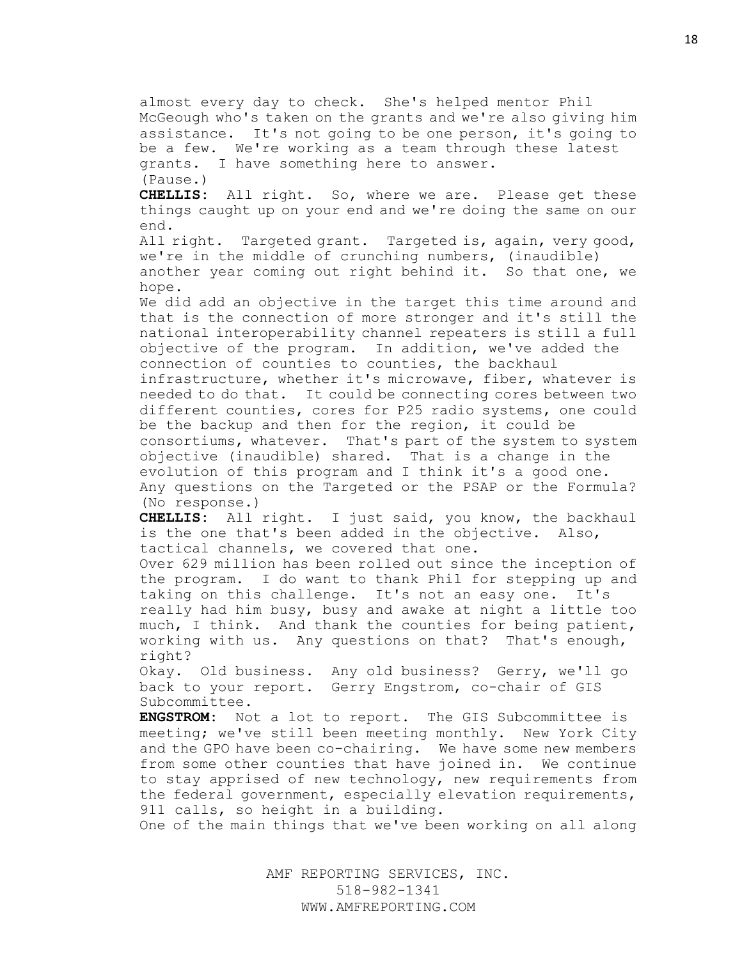almost every day to check. She's helped mentor Phil McGeough who's taken on the grants and we're also giving him assistance. It's not going to be one person, it's going to be a few. We're working as a team through these latest grants. I have something here to answer. (Pause.) **CHELLIS:** All right. So, where we are. Please get these things caught up on your end and we're doing the same on our end. All right. Targeted grant. Targeted is, again, very good, we're in the middle of crunching numbers, (inaudible) another year coming out right behind it. So that one, we hope. We did add an objective in the target this time around and that is the connection of more stronger and it's still the national interoperability channel repeaters is still a full objective of the program. In addition, we've added the connection of counties to counties, the backhaul infrastructure, whether it's microwave, fiber, whatever is needed to do that. It could be connecting cores between two different counties, cores for P25 radio systems, one could be the backup and then for the region, it could be consortiums, whatever. That's part of the system to system objective (inaudible) shared. That is a change in the evolution of this program and I think it's a good one. Any questions on the Targeted or the PSAP or the Formula? (No response.) **CHELLIS:** All right. I just said, you know, the backhaul is the one that's been added in the objective. Also, tactical channels, we covered that one. Over 629 million has been rolled out since the inception of the program. I do want to thank Phil for stepping up and taking on this challenge. It's not an easy one. It's really had him busy, busy and awake at night a little too much, I think. And thank the counties for being patient, working with us. Any questions on that? That's enough, right? Okay. Old business. Any old business? Gerry, we'll go back to your report. Gerry Engstrom, co-chair of GIS Subcommittee. **ENGSTROM:** Not a lot to report. The GIS Subcommittee is meeting; we've still been meeting monthly. New York City and the GPO have been co-chairing. We have some new members from some other counties that have joined in. We continue to stay apprised of new technology, new requirements from the federal government, especially elevation requirements, 911 calls, so height in a building. One of the main things that we've been working on all along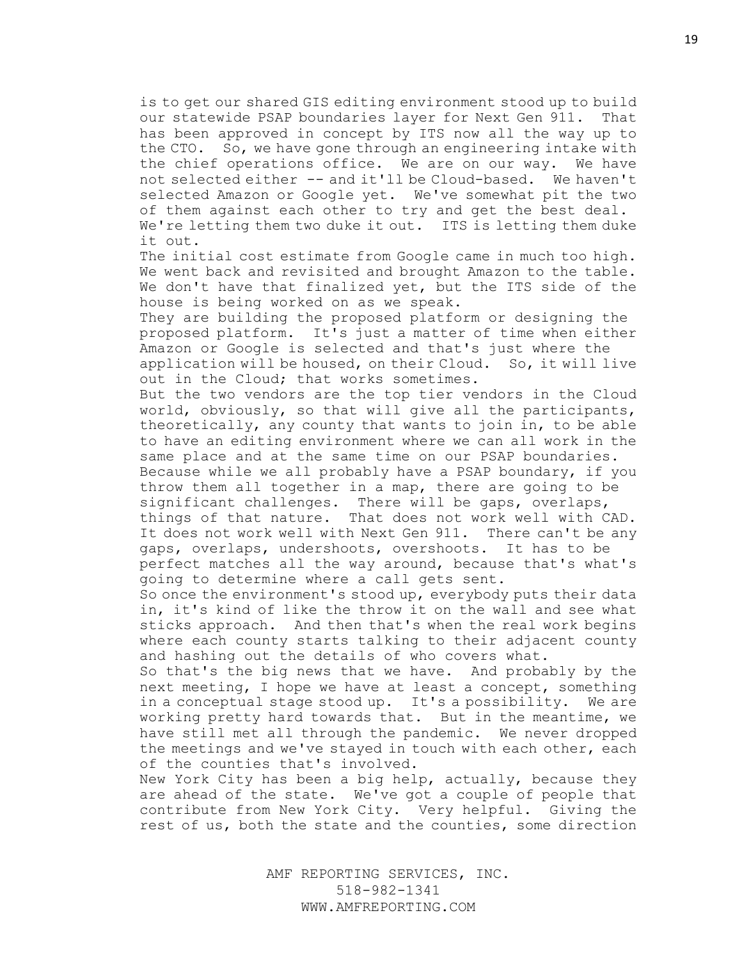is to get our shared GIS editing environment stood up to build our statewide PSAP boundaries layer for Next Gen 911. That has been approved in concept by ITS now all the way up to the CTO. So, we have gone through an engineering intake with the chief operations office. We are on our way. We have not selected either -- and it'll be Cloud-based. We haven't selected Amazon or Google yet. We've somewhat pit the two of them against each other to try and get the best deal. We're letting them two duke it out. ITS is letting them duke it out.

The initial cost estimate from Google came in much too high. We went back and revisited and brought Amazon to the table. We don't have that finalized yet, but the ITS side of the house is being worked on as we speak.

They are building the proposed platform or designing the proposed platform. It's just a matter of time when either Amazon or Google is selected and that's just where the application will be housed, on their Cloud. So, it will live out in the Cloud; that works sometimes.

But the two vendors are the top tier vendors in the Cloud world, obviously, so that will give all the participants, theoretically, any county that wants to join in, to be able to have an editing environment where we can all work in the same place and at the same time on our PSAP boundaries. Because while we all probably have a PSAP boundary, if you throw them all together in a map, there are going to be significant challenges. There will be gaps, overlaps, things of that nature. That does not work well with CAD. It does not work well with Next Gen 911. There can't be any gaps, overlaps, undershoots, overshoots. It has to be perfect matches all the way around, because that's what's going to determine where a call gets sent.

So once the environment's stood up, everybody puts their data in, it's kind of like the throw it on the wall and see what sticks approach. And then that's when the real work begins where each county starts talking to their adjacent county and hashing out the details of who covers what.

So that's the big news that we have. And probably by the next meeting, I hope we have at least a concept, something in a conceptual stage stood up. It's a possibility. We are working pretty hard towards that. But in the meantime, we have still met all through the pandemic. We never dropped the meetings and we've stayed in touch with each other, each of the counties that's involved.

New York City has been a big help, actually, because they are ahead of the state. We've got a couple of people that contribute from New York City. Very helpful. Giving the rest of us, both the state and the counties, some direction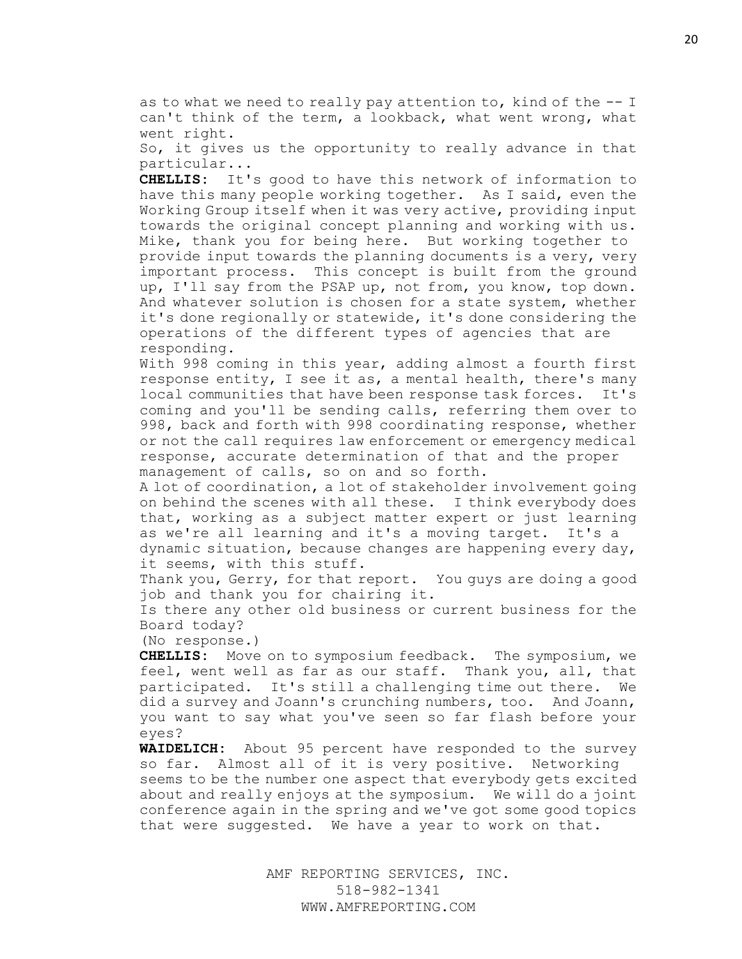as to what we need to really pay attention to, kind of the -- I can't think of the term, a lookback, what went wrong, what went right.

So, it gives us the opportunity to really advance in that particular...

**CHELLIS:** It's good to have this network of information to have this many people working together. As I said, even the Working Group itself when it was very active, providing input towards the original concept planning and working with us. Mike, thank you for being here. But working together to provide input towards the planning documents is a very, very important process. This concept is built from the ground up, I'll say from the PSAP up, not from, you know, top down. And whatever solution is chosen for a state system, whether it's done regionally or statewide, it's done considering the operations of the different types of agencies that are responding.

With 998 coming in this year, adding almost a fourth first response entity, I see it as, a mental health, there's many local communities that have been response task forces. It's coming and you'll be sending calls, referring them over to 998, back and forth with 998 coordinating response, whether or not the call requires law enforcement or emergency medical response, accurate determination of that and the proper management of calls, so on and so forth.

A lot of coordination, a lot of stakeholder involvement going on behind the scenes with all these. I think everybody does that, working as a subject matter expert or just learning as we're all learning and it's a moving target. It's a

dynamic situation, because changes are happening every day, it seems, with this stuff.

Thank you, Gerry, for that report. You quys are doing a good job and thank you for chairing it.

Is there any other old business or current business for the Board today?

(No response.)

**CHELLIS:** Move on to symposium feedback. The symposium, we feel, went well as far as our staff. Thank you, all, that participated. It's still a challenging time out there. We did a survey and Joann's crunching numbers, too. And Joann, you want to say what you've seen so far flash before your eyes?

**WAIDELICH:** About 95 percent have responded to the survey so far. Almost all of it is very positive. Networking seems to be the number one aspect that everybody gets excited about and really enjoys at the symposium. We will do a joint conference again in the spring and we've got some good topics that were suggested. We have a year to work on that.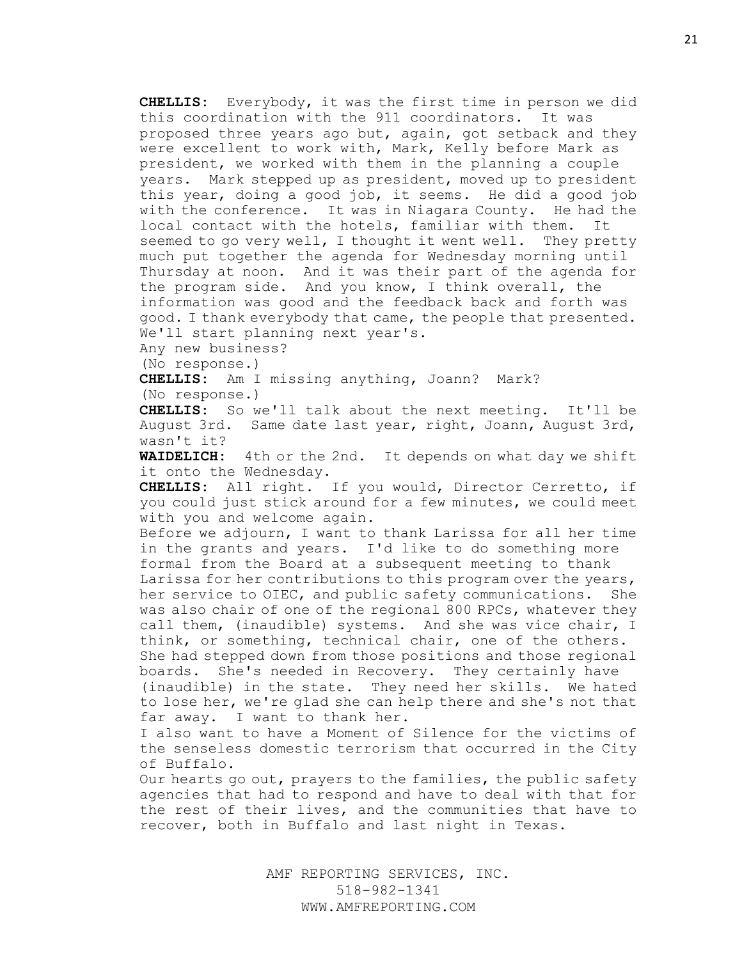**CHELLIS:** Everybody, it was the first time in person we did this coordination with the 911 coordinators. It was proposed three years ago but, again, got setback and they were excellent to work with, Mark, Kelly before Mark as president, we worked with them in the planning a couple years. Mark stepped up as president, moved up to president this year, doing a good job, it seems. He did a good job with the conference. It was in Niagara County. He had the local contact with the hotels, familiar with them. It seemed to go very well, I thought it went well. They pretty much put together the agenda for Wednesday morning until Thursday at noon. And it was their part of the agenda for the program side. And you know, I think overall, the information was good and the feedback back and forth was good. I thank everybody that came, the people that presented. We'll start planning next year's.

Any new business?

(No response.)

**CHELLIS:** Am I missing anything, Joann? Mark? (No response.)

**CHELLIS:** So we'll talk about the next meeting. It'll be August 3rd. Same date last year, right, Joann, August 3rd, wasn't it?

**WAIDELICH:** 4th or the 2nd. It depends on what day we shift it onto the Wednesday.

**CHELLIS:** All right. If you would, Director Cerretto, if you could just stick around for a few minutes, we could meet with you and welcome again.

Before we adjourn, I want to thank Larissa for all her time in the grants and years. I'd like to do something more formal from the Board at a subsequent meeting to thank Larissa for her contributions to this program over the years, her service to OIEC, and public safety communications. She was also chair of one of the regional 800 RPCs, whatever they call them, (inaudible) systems. And she was vice chair, I think, or something, technical chair, one of the others. She had stepped down from those positions and those regional boards. She's needed in Recovery. They certainly have (inaudible) in the state. They need her skills. We hated to lose her, we're glad she can help there and she's not that far away. I want to thank her.

I also want to have a Moment of Silence for the victims of the senseless domestic terrorism that occurred in the City of Buffalo.

Our hearts go out, prayers to the families, the public safety agencies that had to respond and have to deal with that for the rest of their lives, and the communities that have to recover, both in Buffalo and last night in Texas.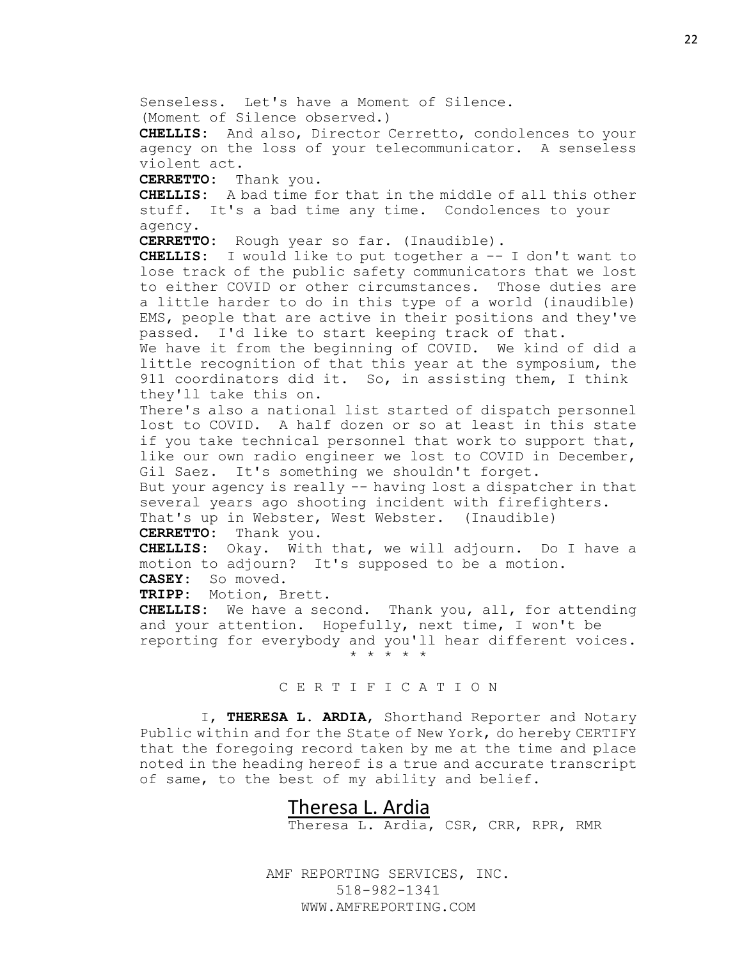Senseless. Let's have a Moment of Silence. (Moment of Silence observed.) **CHELLIS:** And also, Director Cerretto, condolences to your agency on the loss of your telecommunicator. A senseless violent act. **CERRETTO:** Thank you. **CHELLIS:** A bad time for that in the middle of all this other stuff. It's a bad time any time. Condolences to your agency. **CERRETTO:** Rough year so far. (Inaudible). **CHELLIS:** I would like to put together a -- I don't want to lose track of the public safety communicators that we lost to either COVID or other circumstances. Those duties are a little harder to do in this type of a world (inaudible) EMS, people that are active in their positions and they've passed. I'd like to start keeping track of that. We have it from the beginning of COVID. We kind of did a little recognition of that this year at the symposium, the 911 coordinators did it. So, in assisting them, I think they'll take this on. There's also a national list started of dispatch personnel lost to COVID. A half dozen or so at least in this state if you take technical personnel that work to support that, like our own radio engineer we lost to COVID in December, Gil Saez. It's something we shouldn't forget. But your agency is really -- having lost a dispatcher in that several years ago shooting incident with firefighters. That's up in Webster, West Webster. (Inaudible) **CERRETTO:** Thank you. **CHELLIS:** Okay. With that, we will adjourn. Do I have a motion to adjourn? It's supposed to be a motion. **CASEY:** So moved. **TRIPP:** Motion, Brett. **CHELLIS:** We have a second. Thank you, all, for attending

and your attention. Hopefully, next time, I won't be reporting for everybody and you'll hear different voices. \* \* \* \* \*

## C E R T I F I C A T I O N

I, **THERESA L. ARDIA**, Shorthand Reporter and Notary Public within and for the State of New York, do hereby CERTIFY that the foregoing record taken by me at the time and place noted in the heading hereof is a true and accurate transcript of same, to the best of my ability and belief.

# Theresa L. Ardia

Theresa L. Ardia, CSR, CRR, RPR, RMR